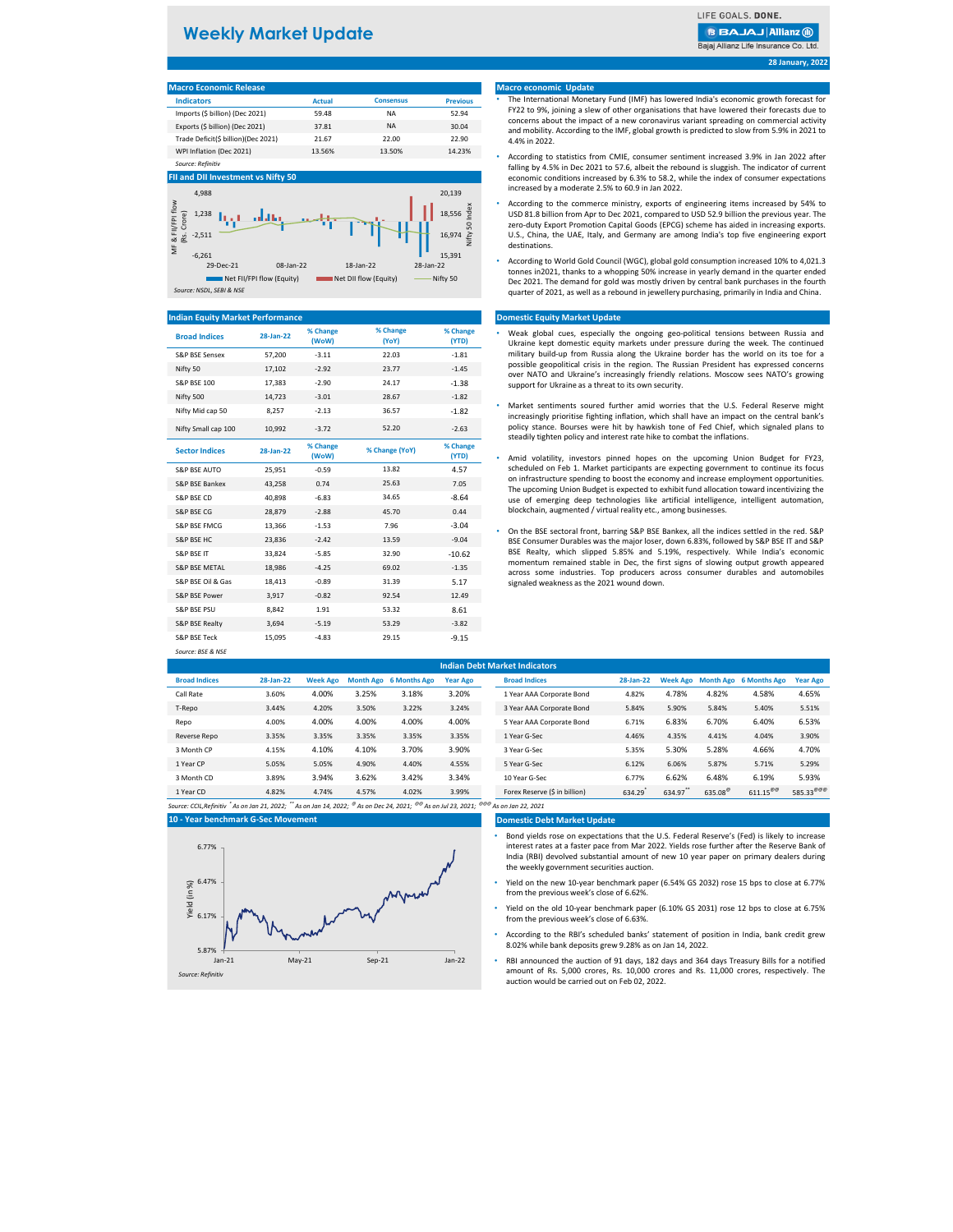3 Month CD 3.89% 3.94% 3.62% 3.42% 3.34% 10 Year G-Sec 6.77% 6.62% 6.48% 6.19% 5.93% Forex Reserve (\$ in billion)  $634.29^{\degree}$  $634.97$ \*\* 635.08  $611.15^{\text{@}}$  585.33 $^{\text{@@}}$ 

| <b>TVIDUO ECONOMIC INCICASE</b>     |        |                  |                 |
|-------------------------------------|--------|------------------|-----------------|
| <b>Indicators</b>                   | Actual | <b>Consensus</b> | <b>Previous</b> |
| Imports (\$ billion) (Dec 2021)     | 59.48  | NА               | 52.94           |
| Exports (\$ billion) (Dec 2021)     | 37.81  | NA               | 30.04           |
| Trade Deficit(\$ billion)(Dec 2021) | 21.67  | 22.00            | 22.90           |
| WPI Inflation (Dec 2021)            | 13.56% | 13.50%           | 14.23%          |
| Source: Refinitiv                   |        |                  |                 |

| <b>Broad Indices</b>     | 28-Jan-22 | % Change<br>(WoW) | % Change<br>(YoY) | % Change<br>(YTD) | Weak global cues, especially the ongoing geo-political tensions between Russia and<br>Ukraine kept domestic equity markets under pressure during the week. The continued            |
|--------------------------|-----------|-------------------|-------------------|-------------------|-------------------------------------------------------------------------------------------------------------------------------------------------------------------------------------|
| S&P BSE Sensex           | 57,200    | $-3.11$           | 22.03             | $-1.81$           | military build-up from Russia along the Ukraine border has the world on its toe for a                                                                                               |
| Nifty 50                 | 17,102    | $-2.92$           | 23.77             | $-1.45$           | possible geopolitical crisis in the region. The Russian President has expressed concerns<br>over NATO and Ukraine's increasingly friendly relations. Moscow sees NATO's growing     |
| <b>S&amp;P BSE 100</b>   | 17,383    | $-2.90$           | 24.17             | $-1.38$           | support for Ukraine as a threat to its own security.                                                                                                                                |
| Nifty 500                | 14,723    | $-3.01$           | 28.67             | $-1.82$           |                                                                                                                                                                                     |
| Nifty Mid cap 50         | 8,257     | $-2.13$           | 36.57             | $-1.82$           | Market sentiments soured further amid worries that the U.S. Federal Reserve might<br>increasingly prioritise fighting inflation, which shall have an impact on the central bank's   |
| Nifty Small cap 100      | 10,992    | $-3.72$           | 52.20             | $-2.63$           | policy stance. Bourses were hit by hawkish tone of Fed Chief, which signaled plans to<br>steadily tighten policy and interest rate hike to combat the inflations.                   |
| <b>Sector Indices</b>    | 28-Jan-22 | % Change<br>(WoW) | % Change (YoY)    | % Change<br>(YTD) | Amid volatility, investors pinned hopes on the upcoming Union Budget for FY23,                                                                                                      |
| <b>S&amp;P BSE AUTO</b>  | 25,951    | $-0.59$           | 13.82             | 4.57              | scheduled on Feb 1. Market participants are expecting government to continue its focus                                                                                              |
| S&P BSE Bankex           | 43,258    | 0.74              | 25.63             | 7.05              | on infrastructure spending to boost the economy and increase employment opportunities.<br>The upcoming Union Budget is expected to exhibit fund allocation toward incentivizing the |
| S&P BSE CD               | 40,898    | $-6.83$           | 34.65             | $-8.64$           | use of emerging deep technologies like artificial intelligence, intelligent automation,                                                                                             |
| S&P BSE CG               | 28,879    | $-2.88$           | 45.70             | 0.44              | blockchain, augmented / virtual reality etc., among businesses.                                                                                                                     |
| <b>S&amp;P BSE FMCG</b>  | 13,366    | $-1.53$           | 7.96              | $-3.04$           | On the BSE sectoral front, barring S&P BSE Bankex, all the indices settled in the red. S&P                                                                                          |
| S&P BSE HC               | 23,836    | $-2.42$           | 13.59             | $-9.04$           | BSE Consumer Durables was the major loser, down 6.83%, followed by S&P BSE IT and S&P                                                                                               |
| S&P BSE IT               | 33,824    | $-5.85$           | 32.90             | $-10.62$          | BSE Realty, which slipped 5.85% and 5.19%, respectively. While India's economic                                                                                                     |
| <b>S&amp;P BSE METAL</b> | 18,986    | $-4.25$           | 69.02             | $-1.35$           | momentum remained stable in Dec, the first signs of slowing output growth appeared<br>across some industries. Top producers across consumer durables and automobiles                |
| S&P BSE Oil & Gas        | 18,413    | $-0.89$           | 31.39             | 5.17              | signaled weakness as the 2021 wound down.                                                                                                                                           |
| S&P BSE Power            | 3,917     | $-0.82$           | 92.54             | 12.49             |                                                                                                                                                                                     |
| S&P BSE PSU              | 8,842     | 1.91              | 53.32             | 8.61              |                                                                                                                                                                                     |
| S&P BSE Realty           | 3,694     | $-5.19$           | 53.29             | $-3.82$           |                                                                                                                                                                                     |
| S&P BSE Teck             | 15,095    | $-4.83$           | 29.15             | $-9.15$           |                                                                                                                                                                                     |
| Source: BSE & NSE        |           |                   |                   |                   |                                                                                                                                                                                     |

|                      |           |                 |       |                        |                 | <b>Indian Debt Market Indicators</b> |           |       |       |                                 |                 |
|----------------------|-----------|-----------------|-------|------------------------|-----------------|--------------------------------------|-----------|-------|-------|---------------------------------|-----------------|
| <b>Broad Indices</b> | 28-Jan-22 | <b>Week Ago</b> |       | Month Ago 6 Months Ago | <b>Year Ago</b> | <b>Broad Indices</b>                 | 28-Jan-22 |       |       | Week Ago Month Ago 6 Months Ago | <b>Year Ago</b> |
| Call Rate            | 3.60%     | 4.00%           | 3.25% | 3.18%                  | 3.20%           | 1 Year AAA Corporate Bond            | 4.82%     | 4.78% | 4.82% | 4.58%                           | 4.65%           |
| T-Repo               | 3.44%     | 4.20%           | 3.50% | 3.22%                  | 3.24%           | 3 Year AAA Corporate Bond            | 5.84%     | 5.90% | 5.84% | 5.40%                           | 5.51%           |
| Repo                 | 4.00%     | 4.00%           | 4.00% | 4.00%                  | 4.00%           | 5 Year AAA Corporate Bond            | 6.71%     | 6.83% | 6.70% | 6.40%                           | 6.53%           |
| Reverse Repo         | 3.35%     | 3.35%           | 3.35% | 3.35%                  | 3.35%           | 1 Year G-Sec                         | 4.46%     | 4.35% | 4.41% | 4.04%                           | 3.90%           |
| 3 Month CP           | 4.15%     | 4.10%           | 4.10% | 3.70%                  | 3.90%           | 3 Year G-Sec                         | 5.35%     | 5.30% | 5.28% | 4.66%                           | 4.70%           |
| 1 Year CP            | 5.05%     | 5.05%           | 4.90% | 4.40%                  | 4.55%           | 5 Year G-Sec                         | 6.12%     | 6.06% | 5.87% | 5.71%                           | 5.29%           |

| 3 Month CD | 3.89% | 3.94% | 3.62% | 3.42% | 3.34% |
|------------|-------|-------|-------|-------|-------|
| 1 Year CD  | 4.82% | 4.74% | 4.57% | 4.02% | 3.99% |

*Source: CCIL,Refinitiv \* As on Jan 21, 2022; \*\* As on Jan 14, 2022; @ As on Dec 24, 2021; @@ As on Jul 23, 2021; @@@ As on Jan 22, 2021*

#### **Domestic Debt Market Update**

#### **28 January, 2022**

#### **10 - Year benchmark G-Sec Movement**

#### **Macro economic Update**

#### **Domestic Equity Market Update**

#### **Indian Equity Market Performance**

#### **FII and DII Investment vs Nifty 50**

#### **Macro Economic Release**

- Weak global cues, especially the ongoing geo-political tensions between Russia and Ukraine kept domestic equity markets under pressure during the week. The continued military build-up from Russia along the Ukraine border has the world on its toe for a possible geopolitical crisis in the region. The Russian President has expressed concerns over NATO and Ukraine's increasingly friendly relations. Moscow sees NATO's growing support for Ukraine as a threat to its own security.
- Market sentiments soured further amid worries that the U.S. Federal Reserve might increasingly prioritise fighting inflation, which shall have an impact on the central bank's policy stance. Bourses were hit by hawkish tone of Fed Chief, which signaled plans to steadily tighten policy and interest rate hike to combat the inflations.
- Amid volatility, investors pinned hopes on the upcoming Union Budget for FY23, scheduled on Feb 1. Market participants are expecting government to continue its focus on infrastructure spending to boost the economy and increase employment opportunities. The upcoming Union Budget is expected to exhibit fund allocation toward incentivizing the use of emerging deep technologies like artificial intelligence, intelligent automation, blockchain, augmented / virtual reality etc., among businesses.
- BSE Consumer Durables was the major loser, down 6.83%, followed by S&P BSE IT and S&P BSE Realty, which slipped 5.85% and 5.19%, respectively. While India's economic momentum remained stable in Dec, the first signs of slowing output growth appeared across some industries. Top producers across consumer durables and automobiles signaled weakness as the 2021 wound down.

## **Weekly Market Update**

LIFE GOALS. DONE.

**BBAJAJ Allianz (ii)** Bajaj Allianz Life Insurance Co. Ltd.



- The International Monetary Fund (IMF) has lowered India's economic growth forecast for FY22 to 9%, joining a slew of other organisations that have lowered their forecasts due to concerns about the impact of a new coronavirus variant spreading on commercial activity and mobility. According to the IMF, global growth is predicted to slow from 5.9% in 2021 to 4.4% in 2022.
- According to statistics from CMIE, consumer sentiment increased 3.9% in Jan 2022 after falling by 4.5% in Dec 2021 to 57.6, albeit the rebound is sluggish. The indicator of current economic conditions increased by 6.3% to 58.2, while the index of consumer expectations increased by a moderate 2.5% to 60.9 in Jan 2022.
- According to the commerce ministry, exports of engineering items increased by 54% to USD 81.8 billion from Apr to Dec 2021, compared to USD 52.9 billion the previous year. The zero-duty Export Promotion Capital Goods (EPCG) scheme has aided in increasing exports. U.S., China, the UAE, Italy, and Germany are among India's top five engineering export destinations.
- According to World Gold Council (WGC), global gold consumption increased 10% to 4,021.3 tonnes in2021, thanks to a whopping 50% increase in yearly demand in the quarter ended Dec 2021. The demand for gold was mostly driven by central bank purchases in the fourth quarter of 2021, as well as a rebound in jewellery purchasing, primarily in India and China.

- Bond yields rose on expectations that the U.S. Federal Reserve's (Fed) is likely to increase interest rates at a faster pace from Mar 2022. Yields rose further after the Reserve Bank of India (RBI) devolved substantial amount of new 10 year paper on primary dealers during the weekly government securities auction.
- Yield on the new 10-year benchmark paper (6.54% GS 2032) rose 15 bps to close at 6.77% from the previous week's close of 6.62%.
- Yield on the old 10-year benchmark paper (6.10% GS 2031) rose 12 bps to close at 6.75% from the previous week's close of 6.63%.
- According to the RBI's scheduled banks' statement of position in India, bank credit grew 8.02% while bank deposits grew 9.28% as on Jan 14, 2022.
- RBI announced the auction of 91 days, 182 days and 364 days Treasury Bills for a notified amount of Rs. 5,000 crores, Rs. 10,000 crores and Rs. 11,000 crores, respectively. The auction would be carried out on Feb 02, 2022.